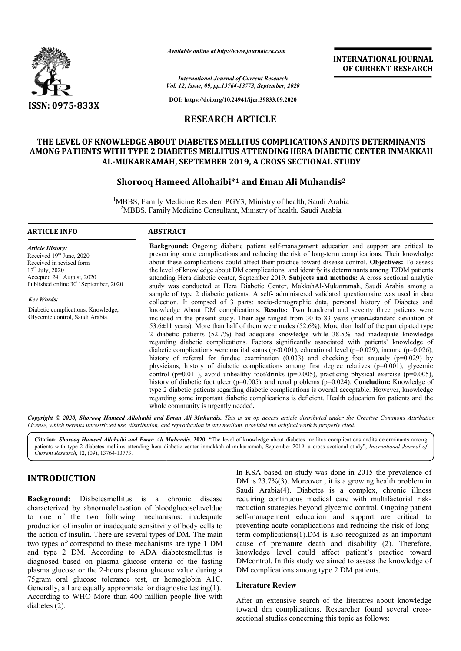

*Available online at http://www.journalcra.com*

**INTERNATIONAL JOURNAL OF CURRENT RESEARCH**

*Vol. 12, Issue, 09, pp.1 pp.13764-13773, September, 2020 International Journal of Current Research*

**DOI: https://doi.org/10.24941/ijcr.39833.09.2020**

## **RESEARCH ARTICLE**

# **THE LEVEL OF KNOWLEDGE ABOUT DIABETES MELLITUS COMPLICATIONS ANDITS DETERMINANTS AMONG PATIENTS WITH TYPE 2 DIABETES MELLITUS ATTENDING HERA DIABETIC CENTER INMAKKAH AL-MUKARRAMAH, SEPTEMBER 2019, A CROSS SECT MUKARRAMAH, SECTIONAL STUDY** THE LEVEL OF KNOWLEDGE ABOUT DIABETES MELLITUS COMPLICATIONS ANDITS DETERMINANTS<br>AMONG PATIENTS WITH TYPE 2 DIABETES MELLITUS ATTENDING HERA DIABETIC CENTER INMAKKAH<br>AL-MUKARRAMAH, SEPTEMBER 2019, A CROSS SECTIONAL STUDY<br>S

## **Shorooq Hameed Allohaibi Allohaibi\*1 and Eman Ali Muhandis**

<sup>1</sup>MBBS, Family Medicine Resident PGY3, Ministry of health, Saudi Arabia <sup>2</sup>MBBS, Family Medicine Consultant, Ministry of health, Saudi Arabia

#### **ARTICLE INFO ABSTRACT**

*Article History:* Received 19th June, 2020 Received in revised form  $17<sup>th</sup>$  July, 2020 Accepted 24<sup>th</sup> August, 2020 Published online  $30<sup>th</sup>$  September, 2020

*Key Words:* Diabetic complications, Knowledge, Glycemic control, Saudi Arabia.

**Background:**  Ongoing diabetic patient self-management education and support are critical to preventing acute complications and reducing the risk of long-term complications. Their knowledge mily Medicine Resident PGY3, Ministry of health, Saudi Arabia<br>
Family Medicine Consultant, Ministry of health, Saudi Arabia<br> **ABSTRACT**<br> **Background:** Ongoing diabetic patient self-management education and support are crit the level of knowledge about DM complications and identify its determinants among T2DM patients attending Hera diabetic center, September 2019. **Subjects and methods:**  A cross sectional analytic study was conducted at Hera Diabetic Center, MakkahAl-Mukarramah, Saudi Arabia among a sample of type 2 diabetic patients. A self- administered validated questionnaire was used in data collection. It compsed of 3 parts: socio-demographic data, personal history of Diabetes and knowledge About DM complications. Results: Two hundrend and seventy three patients were included in the present study. Their age ranged from 30 to 83 years (mean±standard deviation of included in the present study. Their age ranged from 30 to 83 years (mean±standard deviation of 53.6±11 years). More than half of them were males (52.6%). More than half of the participated type 2 diabetic patients (52.7%) had adequate knowledge while 38.5% had inadequate knowledge 2 diabetic patients (52.7%) had adequate knowledge while 38.5% had inadequate knowledge regarding diabetic complications. Factors significantly associated with patients` knowledge of diabetic complications were marital status ( $p<0.001$ ), educational level ( $p=0.029$ ), income ( $p=0.026$ ), history of referral for funduc examination  $(0.033)$  and checking foot anuualy  $(p=0.029)$  by physicians, history of diabetic complications among first degree relatives  $(p=0.001)$ , glycemic control (p=0.011), avoid unhealthy foot/drinks (p=0.005), practicing physical exercise (p=0.005), history of diabetic foot ulcer (p=0.005), and renal problems (p=0.024). **Concludion:** Knowledge of type 2 diabetic patients regarding diabetic complications is overall acceptable. However, knowledge regarding some important diabetic complications is deficient. Health education for patients and the whole community is urgently needed **. INATIONAL JOURNAL<br>
CURRENT RESEARCH**<br> **CURRENT RESEARCH**<br> **CURRENT RESEARCH**<br> **S**<br> **S** DETERMINANTS<br> **CENTER INMAKKAH**<br> **Y**<br> **CENTER INMAKKAH**<br> **Y**<br> **CENTER INMAKKAH**<br> **Y**<br> **CENTER INMAKKAH**<br> **Y**<br>
to Digetives: To assess<br>

Copyright © 2020, Shorooq Hameed Allohaibi and Eman Ali Muhandis. This is an op access article distributed under the Creative Commons Attribution License, which permits unrestricted use, distribution, and reproduction in any medium, provided the original work is properly cited.

Citation: Shorooq Hameed Allohaibi and Eman Ali Muhandis. 2020. "The level of knowledge about diabetes mellitus complications andits determinants among Citation: Shorooq Hameed Allohaibi and Eman Ali Muhandis. 2020. "The level of knowledge about diabetes mellitus complications andits determinants among<br>patients with type 2 diabetes mellitus attending hera diabetic center *Current Research*, 12, (09), 13764-13773.

## **INTRODUCTION**

**Background:** Diabetesmellitus is a chronic disease characterized by abnormalelevation of bloodglucoseleveldue to one of the two following mechanisms: inadequate production of insulin or inadequate sensitivity of body cells to the action of insulin. There are several types of DM. The main two types of correspond to these mechanisms are type 1 DM and type 2 DM. According to ADA diabetesmellitus is diagnosed based on plasma glucose criteria of the fasting plasma glucose or the 2-hours plasma glucose value during a 75gram oral glucose tolerance test, or hemoglobin A1C. Generally, all are equally appropriate for diagnostic testing(1). According to WHO More than 400 million people live with diabetes (2). hours plasma glucose value during a<br>plerance test, or hemoglobin A1C<br>appropriate for diagnostic testing(1).

In KSA based on study was done in 2015 the prevalence of DM is  $23.7\%(3)$ . Moreover, it is a growing health problem in Saudi Arabia(4). Diabetes is a complex, chronic illness Saudi Arabia(4). Diabetes is a complex, chronic illness requiring continuous medical care with multifactorial riskreduction strategies beyond glycemic control. Ongoing patient self-management education and support are critical to preventing acute complications and reducing the risk of longterm complications(1).DM is also recognized as an important term complications(1).DM is also recognized as an important cause of premature death and disability (2). Therefore, knowledge level could affect patient's practice toward DMcontrol. In this study we aimed to assess the knowledge of DM complications among type 2 DM patients. DMcontrol. In this study we aimed to assess the knowledge of DM complications among type 2 DM patients.

#### **Literature Review**

After an extensive search of the literatres about knowledge After an extensive search of the literatres about knowledge<br>toward dm complications. Researcher found several crosssectional studies concerning this topic as follows: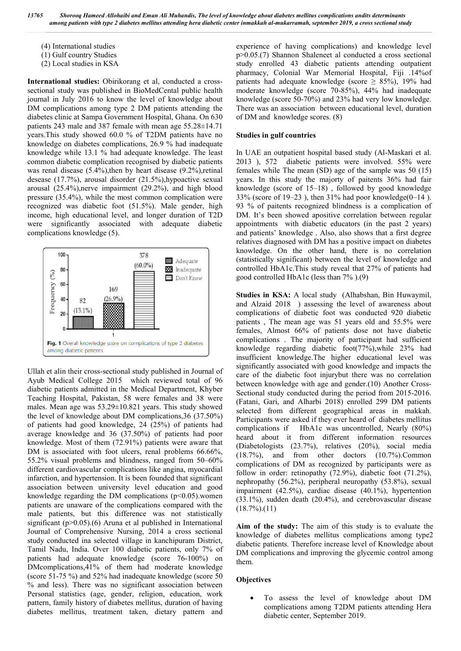(4) International studies

- (1) Gulf country Studies
- (2) Local studies in KSA

**International studies:** Obirikorang et al, conducted a crosssectional study was published in BioMedCental public health journal in July 2016 to know the level of knowledge about DM complications among type 2 DM patients attending the diabetes clinic at Sampa Government Hospital, Ghana. On 630 patients 243 male and 387 female with mean age 55.28±14.71 years.This study showed 60.0 % of T2DM patients have no knowledge on diabetes complications, 26.9 % had inadequate knowledge while 13.1 % had adequate knowledge. The least common diabetic complication recognised by diabetic patients was renal disease (5.4%), then by heart disease (9.2%), retinal desease (17.7%), arousal disorder (21.5%),hypoactive sexual arousal (25.4%),nerve impairment (29.2%), and high blood pressure (35.4%), while the most common complication were recognized was diabetic foot (51.5%). Male gender, high income, high educational level, and longer duration of T2D were significantly associated with adequate diabetic complications knowledge (5).



Ullah et alin their cross-sectional study published in Journal of Ayub Medical College 2015 which reviewed total of 96 diabetic patients admitted in the Medical Department, Khyber Teaching Hospital, Pakistan, 58 were females and 38 were males. Mean age was 53.29±10.821 years. This study showed the level of knowledge about DM complications,36 (37.50%) of patients had good knowledge, 24 (25%) of patients had average knowledge and 36 (37.50%) of patients had poor knowledge. Most of them (72.91%) patients were aware that DM is associated with foot ulcers, renal problems 66.66%, 55.2% visual problems and blindness, ranged from 50–60% different cardiovascular complications like angina, myocardial infarction, and hypertension. It is been founded that significant association between university level education and good knowledge regarding the DM complications  $(p<0.05)$ .women patients are unaware of the complications compared with the male patients, but this difference was not statistically significant (p>0.05).(6) Aruna et al published in International Journal of Comprehensive Nursing, 2014 a cross sectional study conducted ina selected village in kanchipuram District, Tamil Nadu, India. Over 100 diabetic patients, only 7% of patients had adequate knowledge (score 76-100%) on DMcomplications,41% of them had moderate knowledge (score 51-75 %) and 52% had inadequate knowledge (score 50 % and less). There was no significant association between Personal statistics (age, gender, religion, education, work pattern, family history of diabetes mellitus, duration of having diabetes mellitus, treatment taken, dietary pattern and

experience of having complications) and knowledge level p>0.05.(7) Shannon Shaleneet al conducted a cross sectional study enrolled 43 diabetic patients attending outpatient pharmacy, Colonial War Memorial Hospital, Fiji .14%of patients had adequate knowledge (score  $\geq$  85%), 19% had moderate knowledge (score 70-85%), 44% had inadequate knowledge (score 50-70%) and 23% had very low knowledge. There was an association between educational level, duration of DM and knowledge scores. (8)

#### **Studies in gulf countries**

In UAE an outpatient hospital based study (Al-Maskari et al. 2013 ), 572 diabetic patients were involved. 55% were females while The mean (SD) age of the sample was 50 (15) years. In this study the majorty of paitents 36% had fair knowledge (score of 15–18) , followed by good knowledge 33% (score of  $19-23$ ), then 31% had poor knowledge(0–14). 93 % of paitents recognized blindness is a complication of DM. It's been showed apositive correlation between regular appointments with diabetic educators (in the past 2 years) and patients' knowledge . Also, also shows that a first degree relatives diagnosed with DM has a positive impact on diabetes knowledge. On the other hand, there is no correlation (statistically significant) between the level of knowledge and controlled HbA1c.This study reveal that 27% of patients had good controlled HbA1c (less than 7% ).(9)

**Studies in KSA:** A local study (Alhabshan, Bin Huwaymil, and Alzaid 2018 ) assessing the level of awareness about complications of diabetic foot was conducted 920 diabetic patients , The mean age was 51 years old and 55.5% were females, Almost 66% of patients dose not have diabetic complications . The majority of participant had sufficient knowledge regarding diabetic foot(77%),while 23% had insufficient knowledge.The higher educational level was significantly associated with good knowledge and impacts the care of the diabetic foot injurybut there was no correlation between knowledge with age and gender.(10) Another Cross-Sectional study conducted during the period from 2015-2016. (Fatani, Gari, and Alharbi 2018) enrolled 299 DM patients selected from different geographical areas in makkah. Participants were asked if they ever heard of diabetes mellitus complications if HbA1c was uncontrolled, Nearly (80%) heard about it from different information resources (Diabetologists (23.7%), relatives (20%), social media (18.7%), and from other doctors (10.7%).Common complications of DM as recognized by participants were as follow in order: retinopathy (72.9%), diabetic foot (71.2%), nephropathy (56.2%), peripheral neuropathy (53.8%), sexual impairment (42.5%), cardiac disease (40.1%), hypertention (33.1%), sudden death (20.4%), and cerebrovascular disease  $(18.7\%)$ . $(11)$ 

**Aim of the study:** The aim of this study is to evaluate the knowledge of diabetes mellitus complications among type2 diabetic patients. Therefore increase level of Knowledge about DM complications and improving the glycemic control among them.

### **Objectives**

 To assess the level of knowledge about DM complications among T2DM patients attending Hera diabetic center, September 2019.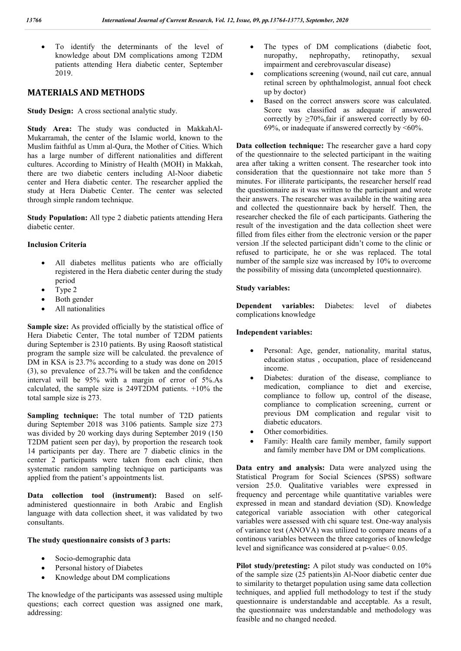To identify the determinants of the level of knowledge about DM complications among T2DM patients attending Hera diabetic center, September 2019.

## **MATERIALS AND METHODS**

**Study Design:** A cross sectional analytic study.

**Study Area:** The study was conducted in MakkahAl-Mukarramah, the center of the Islamic world, known to the Muslim faithful as Umm al-Qura, the Mother of Cities. Which has a large number of different nationalities and different cultures. According to Ministry of Health (MOH) in Makkah, there are two diabetic centers including Al-Noor diabetic center and Hera diabetic center. The researcher applied the study at Hera Diabetic Center. The center was selected through simple random technique.

**Study Population:** All type 2 diabetic patients attending Hera diabetic center.

#### **Inclusion Criteria**

- All diabetes mellitus patients who are officially registered in the Hera diabetic center during the study period
- Type 2
- Both gender
- All nationalities

**Sample size:** As provided officially by the statistical office of Hera Diabetic Center, The total number of T2DM patients during September is 2310 patients. By using Raosoft statistical program the sample size will be calculated. the prevalence of DM in KSA is 23.7% according to a study was done on 2015 (3), so prevalence of 23.7% will be taken and the confidence interval will be 95% with a margin of error of 5%.As calculated, the sample size is 249T2DM patients. +10% the total sample size is 273.

**Sampling technique:** The total number of T2D patients during September 2018 was 3106 patients. Sample size 273 was divided by 20 working days during September 2019 (150 T2DM patient seen per day), by proportion the research took 14 participants per day. There are 7 diabetic clinics in the center 2 participants were taken from each clinic, then systematic random sampling technique on participants was applied from the patient's appointments list.

**Data collection tool (instrument):** Based on selfadministered questionnaire in both Arabic and English language with data collection sheet, it was validated by two consultants.

#### **The study questionnaire consists of 3 parts:**

- Socio-demographic data
- Personal history of Diabetes
- Knowledge about DM complications

The knowledge of the participants was assessed using multiple questions; each correct question was assigned one mark, addressing:

- The types of DM complications (diabetic foot, nuropathy, nephropathy, retinopathy, sexual nuropathy, nephropathy, retinopathy, sexual impairment and cerebrovascular disease)
- complications screening (wound, nail cut care, annual retinal screen by ophthalmologist, annual foot check up by doctor)
- Based on the correct answers score was calculated. Score was classified as adequate if answered correctly by  $\geq$ 70%,fair if answered correctly by 60-69%, or inadequate if answered correctly by  $\leq 60\%$ .

**Data collection technique:** The researcher gave a hard copy of the questionnaire to the selected participant in the waiting area after taking a written consent. The researcher took into consideration that the questionnaire not take more than 5 minutes. For illiterate participants, the researcher herself read the questionnaire as it was written to the participant and wrote their answers. The researcher was available in the waiting area and collected the questionnaire back by herself. Then, the researcher checked the file of each participants. Gathering the result of the investigation and the data collection sheet were filled from files either from the electronic version or the paper version .If the selected participant didn't come to the clinic or refused to participate, he or she was replaced. The total number of the sample size was increased by 10% to overcome the possibility of missing data (uncompleted questionnaire).

#### **Study variables:**

**Dependent variables:** Diabetes: level of diabetes complications knowledge

#### **Independent variables:**

- Personal: Age, gender, nationality, marital status, education status , occupation, place of residenceand income.
- Diabetes: duration of the disease, compliance to medication, compliance to diet and exercise, compliance to follow up, control of the disease, compliance to complication screening, current or previous DM complication and regular visit to diabetic educators.
- Other comorbidities.
- Family: Health care family member, family support and family member have DM or DM complications.

**Data entry and analysis:** Data were analyzed using the Statistical Program for Social Sciences (SPSS) software version 25.0. Qualitative variables were expressed in frequency and percentage while quantitative variables were expressed in mean and standard deviation (SD). Knowledge categorical variable association with other categorical variables were assessed with chi square test. One-way analysis of variance test (ANOVA) was utilized to compare means of a continous variables between the three categories of knowledge level and significance was considered at p-value< 0.05.

**Pilot study/pretesting:** A pilot study was conducted on 10% of the sample size (25 patients)in Al-Noor diabetic center due to similarity to thetarget population using same data collection techniques, and applied full methodology to test if the study questionnaire is understandable and acceptable. As a result, the questionnaire was understandable and methodology was feasible and no changed needed.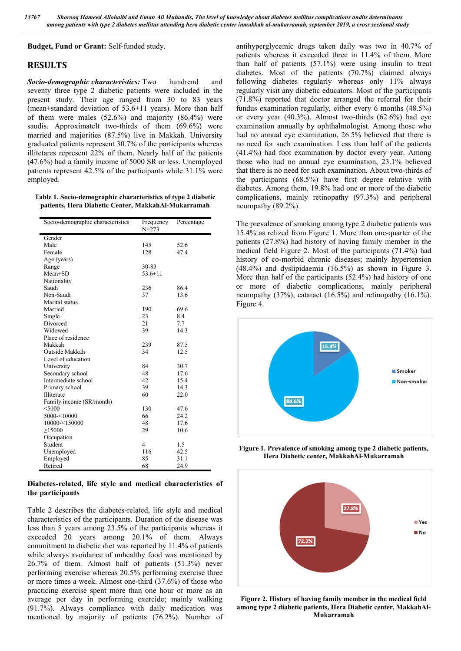**Budget, Fund or Grant:** Self-funded study.

## **RESULTS**

*Socio-demographic characteristics:* Two hundrend and seventy three type 2 diabetic patients were included in the present study. Their age ranged from 30 to 83 years (mean±standard deviation of 53.6±11 years). More than half of them were males  $(52.6\%)$  and majority  $(86.4\%)$  were saudis. Approximatelt two-thirds of them (69.6%) were married and majorities (87.5%) live in Makkah. University graduated patients represent 30.7% of the participants whereas illitetares represent 22% of them. Nearly half of the patients (47.6%) had a family income of 5000 SR or less. Unemployed patients represent 42.5% of the participants while 31.1% were employed.

**Table 1. Socio-demographic characteristics of type 2 diabetic patients, Hera Diabetic Center, MakkahAl-Mukarramah**

| Socio-demographic characteristics | Frequency<br>$N = 273$ | Percentage |
|-----------------------------------|------------------------|------------|
| Gender                            |                        |            |
| Male                              | 145                    | 52.6       |
| Female                            | 128                    | 47.4       |
| Age (years)                       |                        |            |
| Range                             | 30-83                  |            |
| $Mean \pm SD$                     | $53.6 \pm 11$          |            |
| Nationality                       |                        |            |
| Saudi                             | 236                    | 86.4       |
| Non-Saudi                         | 37                     | 13.6       |
| Marital status                    |                        |            |
| Married                           | 190                    | 69.6       |
| Single                            | 23                     | 8.4        |
| Divorced                          | 21                     | 7.7        |
| Widowed                           | 39                     | 14.3       |
| Place of residence                |                        |            |
| Makkah                            | 239                    | 87.5       |
| Outside Makkah                    | 34                     | 12.5       |
| Level of education                |                        |            |
| University                        | 84                     | 30.7       |
| Secondary school                  | 48                     | 17.6       |
| Intermediate school               | 42                     | 15.4       |
| Primary school                    | 39                     | 14.3       |
| Illiterate                        | 60                     | 22.0       |
| Family income (SR/month)          |                        |            |
| $<$ 5000                          | 130                    | 47.6       |
| 5000-<10000                       | 66                     | 24.2       |
| 10000-<150000                     | 48                     | 17.6       |
| >15000                            | 29                     | 10.6       |
| Occupation                        |                        |            |
| Student                           | $\overline{4}$         | 1.5        |
| Unemployed                        | 116                    | 42.5       |
| Employed                          | 85                     | 31.1       |
| Retired                           | 68                     | 24.9       |

**Diabetes-related, life style and medical characteristics of the participants**

Table 2 describes the diabetes-related, life style and medical characteristics of the participants. Duration of the disease was less than 5 years among 23.5% of the participants whereas it exceeded 20 years among 20.1% of them. Always commitment to diabetic diet was reported by 11.4% of patients while always avoidance of unhealthy food was mentioned by 26.7% of them. Almost half of patients (51.3%) never performing exercise whereas 20.5% performing exercise three or more times a week. Almost one-third (37.6%) of those who practicing exercise spent more than one hour or more as an average per day in performing exercide; mainly walking (91.7%). Always compliance with daily medication was mentioned by majority of patients (76.2%). Number of antihyperglycemic drugs taken daily was two in 40.7% of patients whereas it exceeded three in 11.4% of them. More than half of patients (57.1%) were using insulin to treat diabetes. Most of the patients (70.7%) claimed always following diabetes regularly whereas only 11% always regularly visit any diabetic educators. Most of the participants (71.8%) reported that doctor arranged the referral for their fundus examination regularly, either every 6 months (48.5%) or every year (40.3%). Almost two-thirds (62.6%) had eye examination annually by ophthalmologist. Among those who had no annual eye examination, 26.5% believed that there is no need for such examination. Less than half of the patients (41.4%) had foot examination by doctor every year. Among those who had no annual eye examination, 23.1% believed that there is no need for such examination. About two-thirds of the participants (68.5%) have first degree relative with diabetes. Among them, 19.8% had one or more of the diabetic complications, mainly retinopathy (97.3%) and peripheral neuropathy (89.2%).

The prevalence of smoking among type 2 diabetic patients was 15.4% as relized from Figure 1. More than one-quarter of the patients (27.8%) had history of having family member in the medical field Figure 2. Most of the participants (71.4%) had history of co-morbid chronic diseases; mainly hypertension (48.4%) and dyslipidaemia (16.5%) as shown in Figure 3. More than half of the participants (52.4%) had history of one or more of diabetic complications; mainly peripheral neuropathy (37%), cataract (16.5%) and retinopathy (16.1%). Figure 4.



**Figure 1. Prevalence of smoking among type 2 diabetic patients, Hera Diabetic center, MakkahAl-Mukarramah**



**Figure 2. History of having family member in the medical field among type 2 diabetic patients, Hera Diabetic center, MakkahAl-Mukarramah**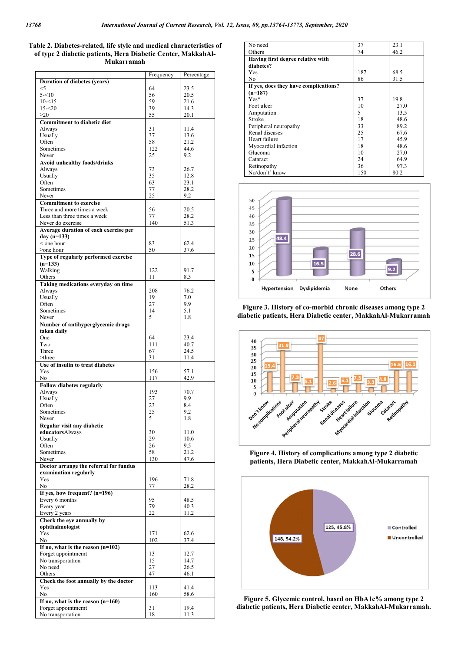#### **Table 2. Diabetes-related, life style and medical characteristics of of type 2 diabetic patients, Hera Diabetic Center, MakkahAl-Mukarramah**

|                                        | Frequency    | Percentage   |
|----------------------------------------|--------------|--------------|
| <b>Duration of diabetes (years)</b>    |              |              |
| $<$ 5                                  | 64           | 23.5         |
| $5 - 10$                               | 56           | 20.5         |
| $10 - 15$                              | 59           | 21.6         |
| $15 - 20$                              | 39           | 14.3         |
| $\geq$ 20                              | 55           | 20.1         |
| <b>Commitment to diabetic diet</b>     |              |              |
| Always                                 | 31           | 11.4         |
| Usually                                | 37           | 13.6         |
| Often                                  | 58           | 21.2         |
| Sometimes                              | 122          | 44.6         |
| Never                                  | 25           | 9.2          |
| <b>Avoid unhealthy foods/drinks</b>    |              |              |
| Always                                 | 73<br>35     | 26.7<br>12.8 |
| Usually                                |              |              |
| Often<br>Sometimes                     | 63           | 23.1<br>28.2 |
| Never                                  | 77<br>25     | 9.2          |
| <b>Commitment to exercise</b>          |              |              |
| Three and more times a week            | 56           | 20.5         |
| Less than three times a week           | 77           | 28.2         |
| Never do exercise                      | 140          | 51.3         |
| Average duration of each exercise per  |              |              |
| day $(n=133)$                          |              |              |
| < one hour                             | 83           | 62.4         |
| $\geq$ one hour                        | 50           | 37.6         |
| Type of regularly performed exercise   |              |              |
| $(n=133)$                              |              |              |
| Walking                                | 122          | 91.7         |
| Others                                 | 11           | 8.3          |
| Taking medications everyday on time    |              |              |
| Always                                 | 208          | 76.2         |
| Usually                                | 19           | 7.0          |
| Often                                  | 27           | 9.9          |
| Sometimes                              | 14           | 5.1          |
| Never                                  | 5            | 1.8          |
| Number of antihyperglycemic drugs      |              |              |
| taken daily                            |              |              |
| One                                    | 64           | 23.4         |
| Two                                    | 111          | 40.7         |
| Three                                  | 67           | 24.5         |
| >three                                 | 31           | 11.4         |
| Use of insulin to treat diabetes       |              |              |
| Yes                                    | 156          | 57.1         |
| N <sub>0</sub>                         | 117          | 42.9         |
| <b>Follow diabetes regularly</b>       |              |              |
| Always                                 | 193          | 70.7         |
| Usually                                | 27           | 9.9          |
| Often                                  | 23           | 8.4          |
| Sometimes                              | 25<br>$\sim$ | 9.2          |
| Never                                  |              | 1.8          |
| Regular visit any diabetic             | 30           |              |
| educatorsAlways<br>Usually             | 29           | 11.0<br>10.6 |
| Often                                  | 26           | 9.5          |
| Sometimes                              | 58           | 21.2         |
| Never                                  | 130          | 47.6         |
| Doctor arrange the referral for fundus |              |              |
| examination regularly                  |              |              |
| Yes                                    | 196          | 71.8         |
| No                                     | 77           | 28.2         |
| If yes, how frequent? (n=196)          |              |              |
| Every 6 months                         | 95           | 48.5         |
| Every year                             | 79           | 40.3         |
| Every 2 years                          | 22           | 11.2         |
| Check the eye annually by              |              |              |
| ophthalmologist                        |              |              |
| Yes                                    | 171          | 62.6         |
| No                                     | 102          | 37.4         |
| If no, what is the reason $(n=102)$    |              |              |
| Forget appointmemt                     | 13           | 12.7         |
| No transportation                      | 15           | 14.7         |
| No need                                | 27           | 26.5         |
| Others                                 | 47           | 46.1         |
| Check the foot annually by the doctor  |              |              |
| Yes                                    | 113          | 41.4         |
| No                                     | 160          | 58.6         |
| If no, what is the reason $(n=160)$    |              |              |
| Forget appointmemt                     | 31           | 19.4         |
| No transportation                      | 18           | 11.3         |

| No need                               | 37  | 23.1 |
|---------------------------------------|-----|------|
| Others                                | 74  | 46.2 |
| Having first degree relative with     |     |      |
| diabetes?                             |     |      |
| Yes                                   | 187 | 68.5 |
| No                                    | 86  | 31.5 |
| If yes, does they have complications? |     |      |
| $(n=187)$                             |     |      |
| $Yes*$                                | 37  | 19.8 |
| Foot ulcer                            | 10  | 27.0 |
| Amputation                            | 5   | 13.5 |
| Stroke                                | 18  | 48.6 |
| Peripheral neuropathy                 | 33  | 89.2 |
| Renal diseases                        | 25  | 67.6 |
| Heart failure                         | 17  | 45.9 |
| Myocardial infaction                  | 18  | 48.6 |
| Glucoma                               | 10  | 27.0 |
| Cataract                              | 24  | 64.9 |
| Retinopathy                           | 36  | 97.3 |
| No/don't' know                        | 150 | 80.2 |



**Figure 3. History of co-morbid chronic diseases among type 2 diabetic patients, Hera Diabetic center, MakkahAl-Mukarramah**



**Figure 4. History of complications among type 2 diabetic patients, Hera Diabetic center, MakkahAl-Mukarramah**



**Figure 5. Glycemic control, based on HbA1c% among type 2 diabetic patients, Hera Diabetic center, MakkahAl-Mukarramah.**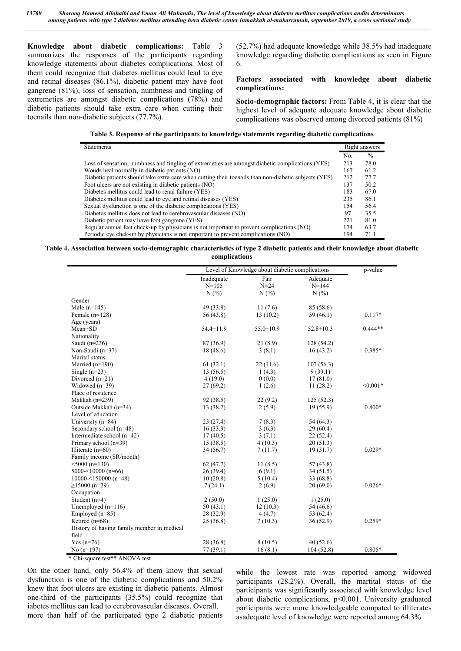**Knowledge about diabetic complications:** Table 3 summarizes the responses of the participants regarding knowledge statements about diabetes complications. Most of them could recognize that diabetes mellitus could lead to eye and retinal diseases (86.1%), diabetic patient may have foot gangrene (81%), loss of sensation, numbness and tingling of extremeties are amongst diabetic complications (78%) and diabetic patients should take extra care when cutting their toenails than non-diabetic subjects (77.7%).

(52.7%) had adequate knowledge while 38.5% had inadequate knowledge regarding diabetic complications as seen in Figure 6.

#### **Factors associated with knowledge about diabetic complications:**

**Socio-demographic factors:** From Table 4, it is clear that the highest level of adequate adequate knowledge about diabetic complications was observed among divorced patients (81%)

|  | Table 3. Response of the participants to knowledge statements regarding diabetic complications |  |
|--|------------------------------------------------------------------------------------------------|--|
|  |                                                                                                |  |

| <b>Statements</b>                                                                                     |     | Right answers |
|-------------------------------------------------------------------------------------------------------|-----|---------------|
|                                                                                                       | No. | $\%$          |
| Loss of sensation, numbness and tingling of extremeties are amongst diabetic complications (YES)      | 213 | 78.0          |
| Wouds heal normally in diabetic patients (NO)                                                         | 167 | 61.2          |
| Diabetic patients should take extra care when cutting their toenails than non-diabetic subjects (YES) | 212 | 77.7          |
| Foot ulcers are not existing in diabetic patients (NO)                                                | 137 | 50.2          |
| Diabetes mellitus could lead to renal failure (YES)                                                   | 183 | 67.0          |
| Diabetes mellitus could lead to eye and retinal diseases (YES)                                        | 235 | 86.1          |
| Sexual dysfunction is one of the diabetic complications (YES)                                         | 154 | 56.4          |
| Diabetes mellitus does not lead to cerebrovascular diseases (NO)                                      | 97  | 35.5          |
| Diabetic patient may have foot gangrene (YES)                                                         | 221 | 81.0          |
| Regular annual feet check-up by physicians is not important to prevent complications (NO)             | 174 | 63.7          |
| Periodic eye chek-up by physicians is not important to prevent complications (NO)                     | 194 | 71.1          |

**Table 4. Association between socio-demographic characteristics of type 2 diabetic patients and their knowledge about diabetic complications**

| Fair<br>Inadequate<br>Adequate<br>$N = 105$<br>$N = 24$<br>$N = 144$<br>N(%<br>N(%<br>N(%<br>Gender<br>Male $(n=145)$<br>49 (33.8)<br>11(7.6)<br>85 (58.6)<br>Female $(n=128)$<br>56 (43.8)<br>13(10.2)<br>59 (46.1)<br>$0.117*$<br>Age (years)<br>54.4±11.9<br>$55.0 \pm 10.9$<br>$52.8 \pm 10.3$<br>$0.444**$<br>Mean±SD<br>Nationality<br>21(8.9)<br>Saudi $(n=236)$<br>87 (36.9)<br>128(54.2)<br>Non-Saudi (n=37)<br>18(48.6)<br>3(8.1)<br>16(43.2)<br>0.385*<br>Marital status<br>Married $(n=190)$<br>61(32.1)<br>22(11.6)<br>107(56.3)<br>Single $(n=23)$<br>13(56.5)<br>1(4.3)<br>9(39.1)<br>Divorced $(n=21)$<br>4(19.0)<br>0(0.0)<br>17(81.0)<br>Widowed $(n=39)$<br>$< 0.001*$<br>27(69.2)<br>1(2.6)<br>11(28.2)<br>Place of residence<br>Makkah $(n=239)$<br>92 (38.5)<br>22(9.2)<br>125(52.3)<br>Outside Makkah (n=34)<br>$0.800*$<br>13 (38.2)<br>2(5.9)<br>19(55.9)<br>Level of education<br>University $(n=84)$<br>7(8.3)<br>23(27.4)<br>54 (64.3)<br>Secondary school (n=48)<br>16(33.3)<br>3(6.3)<br>29(60.4)<br>Intermediate school $(n=42)$<br>17(40.5)<br>3(7.1)<br>22(52.4)<br>Primary school $(n=39)$<br>4(10.3)<br>15(38.5)<br>20(51.3)<br>Illiterate $(n=60)$<br>34(56.7)<br>7(11.7)<br>19(31.7)<br>$0.029*$<br>Family income (SR/month)<br>$<$ 5000 (n=130)<br>62(47.7)<br>11(8.5)<br>57 (43.8)<br>5000-<10000 ( $n=66$ )<br>6(9.1)<br>26(39.4)<br>34(51.5)<br>$10000 - 150000$ (n=48)<br>10(20.8)<br>5(10.4)<br>33 (68.8)<br>$\geq$ 15000 (n=29)<br>2(6.9)<br>20(69.0)<br>$0.026*$<br>7(24.1)<br>Occupation<br>Student (n=4)<br>2(50.0)<br>1(25.0)<br>1(25.0)<br>Unemployed $(n=116)$<br>50(43.1)<br>12(10.3)<br>54 (46.6)<br>Employed $(n=85)$<br>28 (32.9)<br>4(4.7)<br>53 (62.4)<br>Retired $(n=68)$<br>25(36.8)<br>7(10.3)<br>36 (52.9)<br>$0.259*$<br>History of having family member in medical<br>field<br>Yes $(n=76)$<br>8(10.5)<br>40(52.6)<br>28 (36.8) |              | Level of Knowledge about diabetic complications |         |           | p-value  |
|-----------------------------------------------------------------------------------------------------------------------------------------------------------------------------------------------------------------------------------------------------------------------------------------------------------------------------------------------------------------------------------------------------------------------------------------------------------------------------------------------------------------------------------------------------------------------------------------------------------------------------------------------------------------------------------------------------------------------------------------------------------------------------------------------------------------------------------------------------------------------------------------------------------------------------------------------------------------------------------------------------------------------------------------------------------------------------------------------------------------------------------------------------------------------------------------------------------------------------------------------------------------------------------------------------------------------------------------------------------------------------------------------------------------------------------------------------------------------------------------------------------------------------------------------------------------------------------------------------------------------------------------------------------------------------------------------------------------------------------------------------------------------------------------------------------------------------------------------------------------------------------------------|--------------|-------------------------------------------------|---------|-----------|----------|
|                                                                                                                                                                                                                                                                                                                                                                                                                                                                                                                                                                                                                                                                                                                                                                                                                                                                                                                                                                                                                                                                                                                                                                                                                                                                                                                                                                                                                                                                                                                                                                                                                                                                                                                                                                                                                                                                                               |              |                                                 |         |           |          |
|                                                                                                                                                                                                                                                                                                                                                                                                                                                                                                                                                                                                                                                                                                                                                                                                                                                                                                                                                                                                                                                                                                                                                                                                                                                                                                                                                                                                                                                                                                                                                                                                                                                                                                                                                                                                                                                                                               |              |                                                 |         |           |          |
|                                                                                                                                                                                                                                                                                                                                                                                                                                                                                                                                                                                                                                                                                                                                                                                                                                                                                                                                                                                                                                                                                                                                                                                                                                                                                                                                                                                                                                                                                                                                                                                                                                                                                                                                                                                                                                                                                               |              |                                                 |         |           |          |
|                                                                                                                                                                                                                                                                                                                                                                                                                                                                                                                                                                                                                                                                                                                                                                                                                                                                                                                                                                                                                                                                                                                                                                                                                                                                                                                                                                                                                                                                                                                                                                                                                                                                                                                                                                                                                                                                                               |              |                                                 |         |           |          |
|                                                                                                                                                                                                                                                                                                                                                                                                                                                                                                                                                                                                                                                                                                                                                                                                                                                                                                                                                                                                                                                                                                                                                                                                                                                                                                                                                                                                                                                                                                                                                                                                                                                                                                                                                                                                                                                                                               |              |                                                 |         |           |          |
|                                                                                                                                                                                                                                                                                                                                                                                                                                                                                                                                                                                                                                                                                                                                                                                                                                                                                                                                                                                                                                                                                                                                                                                                                                                                                                                                                                                                                                                                                                                                                                                                                                                                                                                                                                                                                                                                                               |              |                                                 |         |           |          |
|                                                                                                                                                                                                                                                                                                                                                                                                                                                                                                                                                                                                                                                                                                                                                                                                                                                                                                                                                                                                                                                                                                                                                                                                                                                                                                                                                                                                                                                                                                                                                                                                                                                                                                                                                                                                                                                                                               |              |                                                 |         |           |          |
|                                                                                                                                                                                                                                                                                                                                                                                                                                                                                                                                                                                                                                                                                                                                                                                                                                                                                                                                                                                                                                                                                                                                                                                                                                                                                                                                                                                                                                                                                                                                                                                                                                                                                                                                                                                                                                                                                               |              |                                                 |         |           |          |
|                                                                                                                                                                                                                                                                                                                                                                                                                                                                                                                                                                                                                                                                                                                                                                                                                                                                                                                                                                                                                                                                                                                                                                                                                                                                                                                                                                                                                                                                                                                                                                                                                                                                                                                                                                                                                                                                                               |              |                                                 |         |           |          |
|                                                                                                                                                                                                                                                                                                                                                                                                                                                                                                                                                                                                                                                                                                                                                                                                                                                                                                                                                                                                                                                                                                                                                                                                                                                                                                                                                                                                                                                                                                                                                                                                                                                                                                                                                                                                                                                                                               |              |                                                 |         |           |          |
|                                                                                                                                                                                                                                                                                                                                                                                                                                                                                                                                                                                                                                                                                                                                                                                                                                                                                                                                                                                                                                                                                                                                                                                                                                                                                                                                                                                                                                                                                                                                                                                                                                                                                                                                                                                                                                                                                               |              |                                                 |         |           |          |
|                                                                                                                                                                                                                                                                                                                                                                                                                                                                                                                                                                                                                                                                                                                                                                                                                                                                                                                                                                                                                                                                                                                                                                                                                                                                                                                                                                                                                                                                                                                                                                                                                                                                                                                                                                                                                                                                                               |              |                                                 |         |           |          |
|                                                                                                                                                                                                                                                                                                                                                                                                                                                                                                                                                                                                                                                                                                                                                                                                                                                                                                                                                                                                                                                                                                                                                                                                                                                                                                                                                                                                                                                                                                                                                                                                                                                                                                                                                                                                                                                                                               |              |                                                 |         |           |          |
|                                                                                                                                                                                                                                                                                                                                                                                                                                                                                                                                                                                                                                                                                                                                                                                                                                                                                                                                                                                                                                                                                                                                                                                                                                                                                                                                                                                                                                                                                                                                                                                                                                                                                                                                                                                                                                                                                               |              |                                                 |         |           |          |
|                                                                                                                                                                                                                                                                                                                                                                                                                                                                                                                                                                                                                                                                                                                                                                                                                                                                                                                                                                                                                                                                                                                                                                                                                                                                                                                                                                                                                                                                                                                                                                                                                                                                                                                                                                                                                                                                                               |              |                                                 |         |           |          |
|                                                                                                                                                                                                                                                                                                                                                                                                                                                                                                                                                                                                                                                                                                                                                                                                                                                                                                                                                                                                                                                                                                                                                                                                                                                                                                                                                                                                                                                                                                                                                                                                                                                                                                                                                                                                                                                                                               |              |                                                 |         |           |          |
|                                                                                                                                                                                                                                                                                                                                                                                                                                                                                                                                                                                                                                                                                                                                                                                                                                                                                                                                                                                                                                                                                                                                                                                                                                                                                                                                                                                                                                                                                                                                                                                                                                                                                                                                                                                                                                                                                               |              |                                                 |         |           |          |
|                                                                                                                                                                                                                                                                                                                                                                                                                                                                                                                                                                                                                                                                                                                                                                                                                                                                                                                                                                                                                                                                                                                                                                                                                                                                                                                                                                                                                                                                                                                                                                                                                                                                                                                                                                                                                                                                                               |              |                                                 |         |           |          |
|                                                                                                                                                                                                                                                                                                                                                                                                                                                                                                                                                                                                                                                                                                                                                                                                                                                                                                                                                                                                                                                                                                                                                                                                                                                                                                                                                                                                                                                                                                                                                                                                                                                                                                                                                                                                                                                                                               |              |                                                 |         |           |          |
|                                                                                                                                                                                                                                                                                                                                                                                                                                                                                                                                                                                                                                                                                                                                                                                                                                                                                                                                                                                                                                                                                                                                                                                                                                                                                                                                                                                                                                                                                                                                                                                                                                                                                                                                                                                                                                                                                               |              |                                                 |         |           |          |
|                                                                                                                                                                                                                                                                                                                                                                                                                                                                                                                                                                                                                                                                                                                                                                                                                                                                                                                                                                                                                                                                                                                                                                                                                                                                                                                                                                                                                                                                                                                                                                                                                                                                                                                                                                                                                                                                                               |              |                                                 |         |           |          |
|                                                                                                                                                                                                                                                                                                                                                                                                                                                                                                                                                                                                                                                                                                                                                                                                                                                                                                                                                                                                                                                                                                                                                                                                                                                                                                                                                                                                                                                                                                                                                                                                                                                                                                                                                                                                                                                                                               |              |                                                 |         |           |          |
|                                                                                                                                                                                                                                                                                                                                                                                                                                                                                                                                                                                                                                                                                                                                                                                                                                                                                                                                                                                                                                                                                                                                                                                                                                                                                                                                                                                                                                                                                                                                                                                                                                                                                                                                                                                                                                                                                               |              |                                                 |         |           |          |
|                                                                                                                                                                                                                                                                                                                                                                                                                                                                                                                                                                                                                                                                                                                                                                                                                                                                                                                                                                                                                                                                                                                                                                                                                                                                                                                                                                                                                                                                                                                                                                                                                                                                                                                                                                                                                                                                                               |              |                                                 |         |           |          |
|                                                                                                                                                                                                                                                                                                                                                                                                                                                                                                                                                                                                                                                                                                                                                                                                                                                                                                                                                                                                                                                                                                                                                                                                                                                                                                                                                                                                                                                                                                                                                                                                                                                                                                                                                                                                                                                                                               |              |                                                 |         |           |          |
|                                                                                                                                                                                                                                                                                                                                                                                                                                                                                                                                                                                                                                                                                                                                                                                                                                                                                                                                                                                                                                                                                                                                                                                                                                                                                                                                                                                                                                                                                                                                                                                                                                                                                                                                                                                                                                                                                               |              |                                                 |         |           |          |
|                                                                                                                                                                                                                                                                                                                                                                                                                                                                                                                                                                                                                                                                                                                                                                                                                                                                                                                                                                                                                                                                                                                                                                                                                                                                                                                                                                                                                                                                                                                                                                                                                                                                                                                                                                                                                                                                                               |              |                                                 |         |           |          |
|                                                                                                                                                                                                                                                                                                                                                                                                                                                                                                                                                                                                                                                                                                                                                                                                                                                                                                                                                                                                                                                                                                                                                                                                                                                                                                                                                                                                                                                                                                                                                                                                                                                                                                                                                                                                                                                                                               |              |                                                 |         |           |          |
|                                                                                                                                                                                                                                                                                                                                                                                                                                                                                                                                                                                                                                                                                                                                                                                                                                                                                                                                                                                                                                                                                                                                                                                                                                                                                                                                                                                                                                                                                                                                                                                                                                                                                                                                                                                                                                                                                               |              |                                                 |         |           |          |
|                                                                                                                                                                                                                                                                                                                                                                                                                                                                                                                                                                                                                                                                                                                                                                                                                                                                                                                                                                                                                                                                                                                                                                                                                                                                                                                                                                                                                                                                                                                                                                                                                                                                                                                                                                                                                                                                                               |              |                                                 |         |           |          |
|                                                                                                                                                                                                                                                                                                                                                                                                                                                                                                                                                                                                                                                                                                                                                                                                                                                                                                                                                                                                                                                                                                                                                                                                                                                                                                                                                                                                                                                                                                                                                                                                                                                                                                                                                                                                                                                                                               |              |                                                 |         |           |          |
|                                                                                                                                                                                                                                                                                                                                                                                                                                                                                                                                                                                                                                                                                                                                                                                                                                                                                                                                                                                                                                                                                                                                                                                                                                                                                                                                                                                                                                                                                                                                                                                                                                                                                                                                                                                                                                                                                               |              |                                                 |         |           |          |
|                                                                                                                                                                                                                                                                                                                                                                                                                                                                                                                                                                                                                                                                                                                                                                                                                                                                                                                                                                                                                                                                                                                                                                                                                                                                                                                                                                                                                                                                                                                                                                                                                                                                                                                                                                                                                                                                                               |              |                                                 |         |           |          |
|                                                                                                                                                                                                                                                                                                                                                                                                                                                                                                                                                                                                                                                                                                                                                                                                                                                                                                                                                                                                                                                                                                                                                                                                                                                                                                                                                                                                                                                                                                                                                                                                                                                                                                                                                                                                                                                                                               |              |                                                 |         |           |          |
|                                                                                                                                                                                                                                                                                                                                                                                                                                                                                                                                                                                                                                                                                                                                                                                                                                                                                                                                                                                                                                                                                                                                                                                                                                                                                                                                                                                                                                                                                                                                                                                                                                                                                                                                                                                                                                                                                               |              |                                                 |         |           |          |
|                                                                                                                                                                                                                                                                                                                                                                                                                                                                                                                                                                                                                                                                                                                                                                                                                                                                                                                                                                                                                                                                                                                                                                                                                                                                                                                                                                                                                                                                                                                                                                                                                                                                                                                                                                                                                                                                                               |              |                                                 |         |           |          |
|                                                                                                                                                                                                                                                                                                                                                                                                                                                                                                                                                                                                                                                                                                                                                                                                                                                                                                                                                                                                                                                                                                                                                                                                                                                                                                                                                                                                                                                                                                                                                                                                                                                                                                                                                                                                                                                                                               |              |                                                 |         |           |          |
|                                                                                                                                                                                                                                                                                                                                                                                                                                                                                                                                                                                                                                                                                                                                                                                                                                                                                                                                                                                                                                                                                                                                                                                                                                                                                                                                                                                                                                                                                                                                                                                                                                                                                                                                                                                                                                                                                               |              |                                                 |         |           |          |
|                                                                                                                                                                                                                                                                                                                                                                                                                                                                                                                                                                                                                                                                                                                                                                                                                                                                                                                                                                                                                                                                                                                                                                                                                                                                                                                                                                                                                                                                                                                                                                                                                                                                                                                                                                                                                                                                                               | No $(n=197)$ | 77 (39.1)                                       | 16(8.1) | 104(52.8) | $0.805*$ |

\* Chi-square test\*\* ANOVA test

On the other hand, only 56.4% of them know that sexual dysfunction is one of the diabetic complications and 50.2% knew that foot ulcers are existing in diabetic patients. Almost one-third of the participants (35.5%) could recognize that iabetes mellitus can lead to cerebrovascular diseases. Overall, more than half of the participated type 2 diabetic patients

while the lowest rate was reported among widowed participants (28.2%). Overall, the martital status of the participants was significantly associated with knowledge level about diabetic complications, p<0.001. University graduated participants were more knowledgeable compated to illiterates asadequate level of knowledge were reported among 64.3%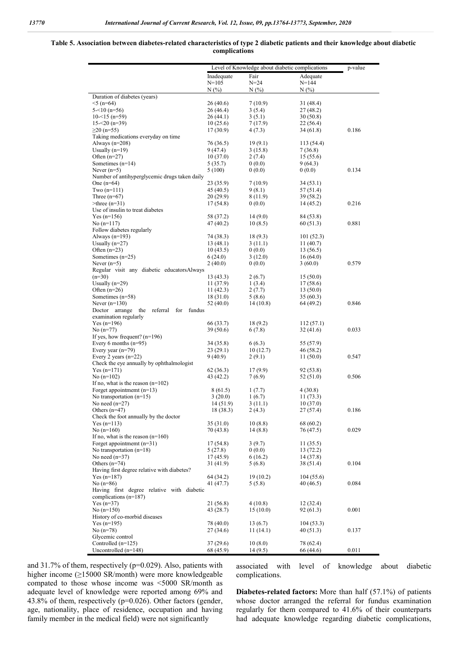#### **Table 5. Association between diabetes-related characteristics of type 2 diabetic patients and their knowledge about diabetic complications**

|                                                                          |                        | Level of Knowledge about diabetic complications |                        | p-value |
|--------------------------------------------------------------------------|------------------------|-------------------------------------------------|------------------------|---------|
|                                                                          | Inadequate             | Fair                                            | Adequate               |         |
|                                                                          | $N = 105$              | $N = 24$                                        | $N = 144$              |         |
|                                                                          | N(%)                   | $N(\%)$                                         | $N(\%)$                |         |
| Duration of diabetes (years)                                             |                        |                                                 |                        |         |
| $5(n=64)$                                                                | 26 (40.6)              | 7 (10.9)                                        | 31 (48.4)              |         |
| $5 - 10(n = 56)$                                                         | 26 (46.4)              | 3(5.4)                                          | 27 (48.2)              |         |
| $10<15$ (n=59)                                                           | 26 (44.1)              | 3(5.1)                                          | 30(50.8)               |         |
| $15 - 20(n=39)$<br>$≥20$ (n=55)                                          | 10(25.6)<br>17(30.9)   | 7 (17.9)<br>4(7.3)                              | 22 (56.4)<br>34 (61.8) | 0.186   |
| Taking medications everyday on time                                      |                        |                                                 |                        |         |
| Always $(n=208)$                                                         | 76 (36.5)              | 19(9.1)                                         | 113 (54.4)             |         |
| Usually $(n=19)$                                                         | 9 (47.4)               | 3(15.8)                                         | 7(36.8)                |         |
| Often $(n=27)$                                                           | 10(37.0)               | 2(7.4)                                          | 15 (55.6)              |         |
| Sometimes $(n=14)$                                                       | 5 (35.7)               | 0(0.0)                                          | 9(64.3)                |         |
| Never $(n=5)$                                                            | 5(100)                 | 0(0.0)                                          | 0(0.0)                 | 0.134   |
| Number of antihyperglycemic drugs taken daily                            |                        |                                                 |                        |         |
| One $(n=64)$<br>Two $(n=111)$                                            | 23 (35.9)<br>45 (40.5) | 7 (10.9)<br>9(8.1)                              | 34 (53.1)<br>57 (51.4) |         |
| Three $(n=67)$                                                           | 20 (29.9)              | 8 (11.9)                                        | 39 (58.2)              |         |
| $\geq$ three (n=31)                                                      | 17(54.8)               | 0(0.0)                                          | 14 (45.2)              | 0.216   |
| Use of insulin to treat diabetes                                         |                        |                                                 |                        |         |
| $Yes (n=156)$                                                            | 58 (37.2)              | 14(9.0)                                         | 84 (53.8)              |         |
| No $(n=117)$                                                             | 47 (40.2)              | 10(8.5)                                         | 60 (51.3)              | 0.881   |
| Follow diabetes regularly                                                |                        |                                                 |                        |         |
| Always $(n=193)$                                                         | 74 (38.3)              | 18(9.3)                                         | 101(52.3)              |         |
| Usually $(n=27)$<br>Often $(n=23)$                                       | 13 (48.1)<br>10(43.5)  | 3(11.1)<br>0(0.0)                               | 11(40.7)<br>13 (56.5)  |         |
| Sometimes $(n=25)$                                                       | 6(24.0)                | 3(12.0)                                         | 16(64.0)               |         |
| Never $(n=5)$                                                            | 2(40.0)                | 0(0.0)                                          | 3(60.0)                | 0.579   |
| Regular visit any diabetic educatorsAlways                               |                        |                                                 |                        |         |
| $(n=30)$                                                                 | 13 (43.3)              | 2(6.7)                                          | 15(50.0)               |         |
| Usually $(n=29)$                                                         | 11 (37.9)              | 1(3.4)                                          | 17 (58.6)              |         |
| Often $(n=26)$                                                           | 11 (42.3)              | 2(7.7)                                          | 13(50.0)               |         |
| Sometimes $(n=58)$                                                       | 18 (31.0)              | 5(8.6)                                          | 35 (60.3)              |         |
| Never $(n=130)$                                                          | 52 (40.0)              | 14(10.8)                                        | 64 (49.2)              | 0.846   |
| Doctor arrange the<br>referral<br>for<br>fundus<br>examination regularly |                        |                                                 |                        |         |
| $Yes (n=196)$                                                            | 66 (33.7)              | 18(9.2)                                         | 112(57.1)              |         |
| No $(n=77)$                                                              | 39 (50.6)              | 6(7.8)                                          | 32 (41.6)              | 0.033   |
| If yes, how frequent? $(n=196)$                                          |                        |                                                 |                        |         |
| Every 6 months $(n=95)$                                                  | 34 (35.8)              | 6(6.3)                                          | 55 (57.9)              |         |
| Every year $(n=79)$                                                      | 23(29.1)               | 10(12.7)                                        | 46 (58.2)              |         |
| Every 2 years $(n=22)$                                                   | 9 (40.9)               | 2(9.1)                                          | 11(50.0)               | 0.547   |
| Check the eye annually by ophthalmologist                                |                        |                                                 |                        |         |
| $Yes (n=171)$<br>No $(n=102)$                                            | 62 (36.3)<br>43 (42.2) | 17(9.9)<br>7 (6.9)                              | 92 (53.8)<br>52 (51.0) | 0.506   |
| If no, what is the reason $(n=102)$                                      |                        |                                                 |                        |         |
| Forget appointment $(n=13)$                                              | 8 (61.5)               | 1(7.7)                                          | 4(30.8)                |         |
| No transportation $(n=15)$                                               | 3(20.0)                | 1(6.7)                                          | 11 (73.3)              |         |
| No need $(n=27)$                                                         | 14 (51.9)              | 3(11.1)                                         | 10(37.0)               |         |
| Others $(n=47)$                                                          | 18 (38.3)              | 2(4.3)                                          | 27 (57.4)              | 0.186   |
| Check the foot annually by the doctor                                    |                        |                                                 |                        |         |
| $Yes (n=113)$                                                            | 35 (31.0)              | 10(8.8)                                         | 68 (60.2)              |         |
| No $(n=160)$<br>If no, what is the reason $(n=160)$                      | 70 (43.8)              | 14 (8.8)                                        | 76 (47.5)              | 0.029   |
| Forget appointmemt $(n=31)$                                              | 17 (54.8)              | 3(9.7)                                          | 11(35.5)               |         |
| No transportation $(n=18)$                                               | 5(27.8)                | 0(0.0)                                          | 13(72.2)               |         |
| No need $(n=37)$                                                         | 17 (45.9)              | 6(16.2)                                         | 14 (37.8)              |         |
| Others $(n=74)$                                                          | 31 (41.9)              | 5(6.8)                                          | 38 (51.4)              | 0.104   |
| Having first degree relative with diabetes?                              |                        |                                                 |                        |         |
| $Yes (n=187)$                                                            | 64 (34.2)              | 19(10.2)                                        | 104(55.6)              |         |
| No $(n=86)$                                                              | 41 (47.7)              | 5 (5.8)                                         | 40 (46.5)              | 0.084   |
| Having first degree relative with diabetic                               |                        |                                                 |                        |         |
| complications $(n=187)$<br>Yes $(n=37)$                                  | 21 (56.8)              |                                                 |                        |         |
| No $(n=150)$                                                             | 43 (28.7)              | 4(10.8)<br>15(10.0)                             | 12 (32.4)<br>92 (61.3) | 0.001   |
| History of co-morbid diseases                                            |                        |                                                 |                        |         |
| $Yes (n=195)$                                                            | 78 (40.0)              | 13 (6.7)                                        | 104(53.3)              |         |
| No $(n=78)$                                                              | 27 (34.6)              | 11(14.1)                                        | 40 (51.3)              | 0.137   |
| Glycemic control                                                         |                        |                                                 |                        |         |
| Controlled $(n=125)$                                                     | 37(29.6)               | 10(8.0)                                         | 78 (62.4)              |         |
| Uncontrolled (n=148)                                                     | 68 (45.9)              | 14 (9.5)                                        | 66 (44.6)              | 0.011   |

and 31.7% of them, respectively (p=0.029). Also, patients with higher income (≥15000 SR/month) were more knowledgeable compated to those whose income was <5000 SR/month as adequate level of knowledge were reported among 69% and 43.8% of them, respectively (p=0.026). Other factors (gender, age, nationality, place of residence, occupation and having family member in the medical field) were not significantly

associated with level of knowledge about diabetic complications.

**Diabetes-related factors:** More than half (57.1%) of patients whose doctor arranged the referral for fundus examination regularly for them compared to 41.6% of their counterparts had adequate knowledge regarding diabetic complications,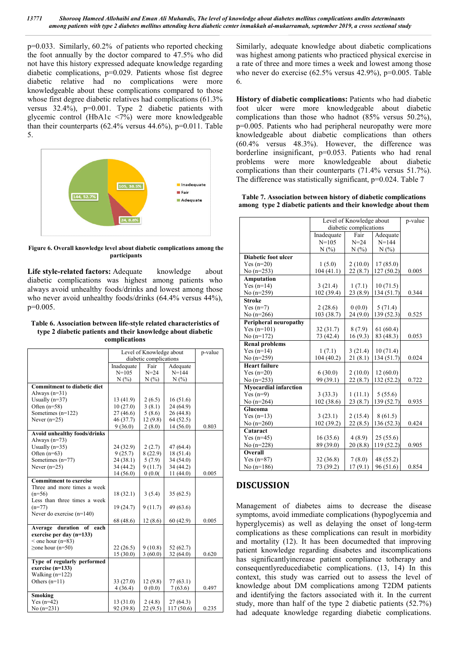p=0.033. Similarly, 60.2% of patients who reported checking the foot annually by the doctor compared to 47.5% who did not have this history expressed adequate knowledge regarding diabetic complications, p=0.029. Patients whose fist degree diabetic relative had no complications were more knowledgeable about these complications compared to those whose first degree diabetic relatives had complications  $(61.3\%)$ versus 32.4%), p=0.001. Type 2 diabetic patients with glycemic control (HbA1c <7%) were more knowledgeable than their counterparts  $(62.4\%$  versus  $44.6\%$ ), p=0.011. Table 5.



**Figure 6. Overall knowledge level about diabetic complications among the participants**

Life style-related factors: Adequate knowledge about diabetic complications was highest among patients who always avoid unhealthy foods/drinks and lowest among those who never avoid unhealthy foods/drinks (64.4% versus 44%), p=0.005.

#### **Table 6. Association between life-style related characteristics of type 2 diabetic patients and their knowledge about diabetic complications**

|                                                 | Level of Knowledge about |          |            | p-value |
|-------------------------------------------------|--------------------------|----------|------------|---------|
|                                                 | diabetic complications   |          |            |         |
|                                                 | Inadequate               | Fair     | Adequate   |         |
|                                                 | $N = 105$                | $N = 24$ | $N = 144$  |         |
|                                                 | N(%                      | N(%)     | N(%        |         |
| <b>Commitment to diabetic diet</b>              |                          |          |            |         |
| Always $(n=31)$                                 |                          |          |            |         |
| Usually $(n=37)$                                | 13 (41.9)                | 2(6.5)   | 16(51.6)   |         |
| Often $(n=58)$                                  | 10(27.0)                 | 3(8.1)   | 24 (64.9)  |         |
| Sometimes (n=122)                               | 27(46.6)                 | 5(8.6)   | 26 (44.8)  |         |
| Never $(n=25)$                                  | 46 (37.7)                | 12(9.8)  | 64(52.5)   |         |
|                                                 | 9(36.0)                  | 2(8.0)   | 14 (56.0)  | 0.803   |
| <b>Avoid unhealthy foods/drinks</b>             |                          |          |            |         |
| Always $(n=73)$                                 |                          |          |            |         |
| Usually $(n=35)$                                | 24(32.9)                 | 2(2.7)   | 47 (64.4)  |         |
| Often $(n=63)$                                  | 9(25.7)                  | 8(22.9)  | 18 (51.4)  |         |
| Sometimes (n=77)                                | 24(38.1)                 | 5(7.9)   | 34 (54.0)  |         |
| Never $(n=25)$                                  | 34 (44.2)                | 9(11.7)  | 34 (44.2)  |         |
|                                                 | 14 (56.0)                | 0.00(    | 11(44.0)   | 0.005   |
| <b>Commitment to exercise</b>                   |                          |          |            |         |
| Three and more times a week                     |                          |          |            |         |
| $(n=56)$                                        | 18(32.1)                 | 3(5.4)   | 35(62.5)   |         |
| Less than three times a week                    |                          |          |            |         |
| $(n=77)$                                        | 19(24.7)                 | 9(11.7)  | 49 (63.6)  |         |
| Never do exercise $(n=140)$                     |                          |          |            |         |
|                                                 | 68 (48.6)                | 12(8.6)  | 60 (42.9)  | 0.005   |
| of<br>each                                      |                          |          |            |         |
| Average duration                                |                          |          |            |         |
| exercise per day (n=133)<br>$<$ one hour (n=83) |                          |          |            |         |
| $\geq$ one hour (n=50)                          | 22(26.5)                 | 9(10.8)  | 52(62.7)   |         |
|                                                 |                          |          |            |         |
|                                                 | 15(30.0)                 | 3(60.0)  | 32(64.0)   | 0.620   |
| Type of regularly performed                     |                          |          |            |         |
| exercise $(n=133)$                              |                          |          |            |         |
| Walking $(n=122)$                               |                          |          |            |         |
| Others $(n=11)$                                 | 33 (27.0)                | 12(9.8)  | 77(63.1)   |         |
|                                                 | 4(36.4)                  | 0(0.0)   | 7(63.6)    | 0.497   |
| Smoking                                         |                          |          |            |         |
| $Yes (n=42)$                                    | 13(31.0)                 | 2(4.8)   | 27(64.3)   |         |
| $No(n=231)$                                     | 92 (39.8)                | 22(9.5)  | 117 (50.6) | 0.235   |

Similarly, adequate knowledge about diabetic complications was highest among patients who practiced physical exercise in a rate of three and more times a week and lowest among those who never do exercise (62.5% versus 42.9%), p=0.005. Table 6.

**History of diabetic complications:** Patients who had diabetic foot ulcer were more knowledgeable about diabetic complications than those who hadnot (85% versus 50.2%), p=0.005. Patients who had peripheral neuropathy were more knowledgeable about diabetic complications than others (60.4% versus 48.3%). However, the difference was borderline insignificant, p=0.053. Patients who had renal problems were more knowledgeable about diabetic complications than their counterparts (71.4% versus 51.7%). The difference was statistically significant,  $p=0.024$ . Table 7

**Table 7. Association between history of diabetic complications among type 2 diabetic patients and their knowledge about them**

|                              | Level of Knowledge about | p-value                |            |       |
|------------------------------|--------------------------|------------------------|------------|-------|
|                              |                          | diabetic complications |            |       |
|                              | Inadequate               | Fair                   | Adequate   |       |
|                              | $N = 105$                | $N = 24$               | $N = 144$  |       |
|                              | N(%                      | N(%)                   | N(%        |       |
| <b>Diabetic foot ulcer</b>   |                          |                        |            |       |
| Yes $(n=20)$                 | 1(5.0)                   | 2(10.0)                | 17(85.0)   |       |
| No $(n=253)$                 | 104(41.1)                | 22(8.7)                | 127(50.2)  | 0.005 |
| <b>Amputation</b>            |                          |                        |            |       |
| Yes $(n=14)$                 | 3(21.4)                  | 1(7.1)                 | 10(71.5)   |       |
| No $(n=259)$                 | 102 (39.4)               | 23 (8.9)               | 134 (51.7) | 0.344 |
| <b>Stroke</b>                |                          |                        |            |       |
| Yes $(n=7)$                  | 2(28.6)                  | 0(0.0)                 | 5(71.4)    |       |
| No $(n=266)$                 | 103 (38.7)               | 24(9.0)                | 139 (52.3) | 0.525 |
| Peripheral neuropathy        |                          |                        |            |       |
| $Yes (n=101)$                | 32 (31.7)                | 8(7.9)                 | 61(60.4)   |       |
| No $(n=172)$                 | 73 (42.4)                | 16(9.3)                | 83 (48.3)  | 0.053 |
| <b>Renal problems</b>        |                          |                        |            |       |
| Yes $(n=14)$                 | 1(7.1)                   | 3(21.4)                | 10(71.4)   |       |
| No $(n=259)$                 | 104 (40.2)               | 21(8.1)                | 134(51.7)  | 0.024 |
| <b>Heart failure</b>         |                          |                        |            |       |
| Yes $(n=20)$                 | 6(30.0)                  | 2(10.0)                | 12(60.0)   |       |
| No $(n=253)$                 | 99 (39.1)                | 22(8.7)                | 132 (52.2) | 0.722 |
| <b>Myocardial infarction</b> |                          |                        |            |       |
| Yes $(n=9)$                  | 3(33.3)                  | 1(11.1)                | 5(55.6)    |       |
| No $(n=264)$                 | 102 (38.6)               | 23(8.7)                | 139 (52.7) | 0.935 |
| Glucoma                      |                          |                        |            |       |
| Yes $(n=13)$                 | 3(23.1)                  | 2(15.4)                | 8(61.5)    |       |
| No $(n=260)$                 | 102 (39.2)               | 22(8.5)                | 136 (52.3) | 0.424 |
| Cataract                     |                          |                        |            |       |
| Yes $(n=45)$                 | 16(35.6)                 | 4(8.9)                 | 25(55.6)   |       |
| No $(n=228)$                 | 89 (39.0)                | 20(8.8)                | 119 (52.2) | 0.905 |
| Overall                      |                          |                        |            |       |
| Yes $(n=87)$                 | 32 (36.8)                | 7(8.0)                 | 48 (55.2)  |       |
| No $(n=186)$                 | 73 (39.2)                | 17(9.1)                | 96 (51.6)  | 0.854 |

# **DISCUSSION**

Management of diabetes aims to decrease the disease symptoms, avoid immediate complications (hypoglycemia and hyperglycemis) as well as delaying the onset of long-term complications as these complications can result in morbidity and mortality (12). It has been documedted that improving patient knowledge regarding disabetes and itscomplications has significantlyincrease patient compliance totherapy and consequentlyreducediabetic complications. (13, 14) In this context, this study was carried out to assess the level of knowledge about DM complications among T2DM patients and identifying the factors associated with it. In the current study, more than half of the type 2 diabetic patients (52.7%) had adequate knowledge regarding diabetic complications.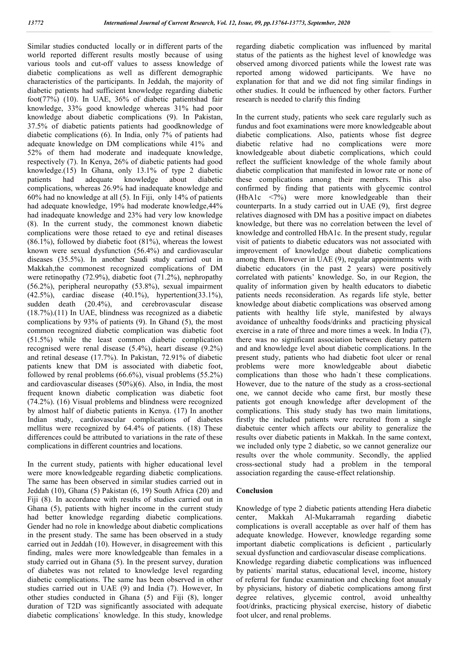Similar studies conducted locally or in different parts of the world reported different results mostly because of using various tools and cut-off values to assess knowledge of diabetic complications as well as different demographic characteristics of the participants. In Jeddah, the majority of diabetic patients had sufficient knowledge regarding diabetic foot(77%) (10). In UAE, 36% of diabetic patientshad fair knowledge, 33% good knowledge whereas 31% had poor knowledge about diabetic complications (9). In Pakistan, 37.5% of diabetic patients patients had goodknowledge of diabetic complications (6). In India, only 7% of patients had adequate knowledge on DM complications while 41% and 52% of them had moderate and inadequate knowledge, respectively (7). In Kenya, 26% of diabetic patients had good knowledge.(15) In Ghana, only 13.1% of type 2 diabetic patients had adequate knowledge about diabetic complications, whereas 26.9% had inadequate knowledge and 60% had no knowledge at all (5). In Fiji, only 14% of patients had adequate knowledge, 19% had moderate knowledge,44% had inadequate knowledge and 23% had very low knowledge (8). In the current study, the commonest known diabetic complications were those retaed to eye and retinal diseases  $(86.1\%)$ , followed by diabetic foot  $(81\%)$ , whereas the lowest known were sexual dysfunction (56.4%) and cardiovascular diseases (35.5%). In another Saudi study carried out in Makkah,the commonest recognized complications of DM were retinopathy (72.9%), diabetic foot (71.2%), nephropathy (56.2%), peripheral neuropathy (53.8%), sexual impairment (42.5%), cardiac disease (40.1%), hypertention(33.1%), sudden death (20.4%), and cerebrovascular disease (18.7%).(11) In UAE, blindness was recognized as a diabetic complications by 93% of patients (9). In Ghand (5), the most common recognized diabetic complication was diabetic foot (51.5%) while the least common diabetic complication recognised were renal disease (5.4%), heart disease (9.2%) and retinal desease (17.7%). In Pakistan, 72.91% of diabetic patients knew that DM is associated with diabetic foot, followed by renal problems (66.6%), visual problems (55.2%) and cardiovascular diseases (50%)(6). Also, in India, the most frequent known diabetic complication was diabetic foot (74.2%). (16) Visual problems and blindness were recognized by almost half of diabetic patients in Kenya. (17) In another Indian study, cardiovascular complications of diabetes mellitus were recognized by 64.4% of patients. (18) These differences could be attributed to variations in the rate of these complications in different countries and locations.

In the current study, patients with higher educational level were more knowledgeable regarding diabetic complications. The same has been observed in similar studies carried out in Jeddah (10), Ghana (5) Pakistan (6, 19) South Africa (20) and Fiji (8). In accordance with results of studies carried out in Ghana (5), patients with higher income in the current study had better knowledge regarding diabetic complications. Gender had no role in knowledge about diabetic complications in the present study. The same has been observed in a study carried out in Jeddah (10). However, in disagreement with this finding, males were more knowledgeable than females in a study carried out in Ghana (5). In the present survey, duration of diabetes was not related to knowledge level regarding diabetic complications. The same has been observed in other studies carried out in UAE (9) and India (7). However, In other studies conducted in Ghana (5) and Fiji (8), longer duration of T2D was significantly associated with adequate diabetic complications` knowledge. In this study, knowledge

regarding diabetic complication was influenced by marital status of the patients as the highest level of knowledge was observed among divorced patients while the lowest rate was reported among widowed participants. We have no explanation for that and we did not fing similar findings in other studies. It could be influenced by other factors. Further research is needed to clarify this finding

In the current study, patients who seek care regularly such as fundus and foot examinations were more knowledgeable about diabetic complications. Also, patients whose fist degree diabetic relative had no complications were more knowledgeable about diabetic complications, which could reflect the sufficient knowledge of the whole family about diabetic complication that manifested in lowor rate or none of these complications among their members. This also confirmed by finding that patients with glycemic control (HbA1c <7%) were more knowledgeable than their counterparts. In a study carried out in UAE (9), first degree relatives diagnosed with DM has a positive impact on diabetes knowledge, but there was no correlation between the level of knowledge and controlled HbA1c. In the present study, regular visit of patients to diabetic educators was not associated with improvement of knowledge about diabetic complications among them. However in UAE (9), regular appointments with diabetic educators (in the past 2 years) were positively correlated with patients' knowledge. So, in our Region, the quality of information given by health educators to diabetic patients needs reconsideration. As regards life style, better knowledge about diabetic complications was observed among patients with healthy life style, manifested by always avoidance of unhealthy foods/drinks and practicing physical exercise in a rate of three and more times a week. In India (7), there was no significant association between dietary pattern and and knowledge level about diabetic complications. In the present study, patients who had diabetic foot ulcer or renal problems were more knowledgeable about diabetic complications than those who hadn`t these complications. However, due to the nature of the study as a cross-sectional one, we cannot decide who came first, bur mostly these patients got enough knowledge after development of the complications. This study study has two main limitations, firstly the included patients were recruited from a single diabetuic center which affects our ability to generalize the results over diabetic patients in Makkah. In the same context, we included only type 2 diabetic, so we cannot generalize our results over the whole community. Secondly, the applied cross-sectional study had a problem in the temporal association regarding the cause-effect relationship.

#### **Conclusion**

Knowledge of type 2 diabetic patients attending Hera diabetic center, Makkah Al-Mukarramah regarding diabetic complications is overall acceptable as over half of them has adequate knowledge. However, knowledge regarding some important diabetic complications is deficient , particularly sexual dysfunction and cardiovascular disease complications. Knowledge regarding diabetic complications was influenced by patients` marital status, educational level, income, history of referral for funduc examination and checking foot anuualy by physicians, history of diabetic complications among first degree relatives, glycemic control, avoid unhealthy foot/drinks, practicing physical exercise, history of diabetic foot ulcer, and renal problems.